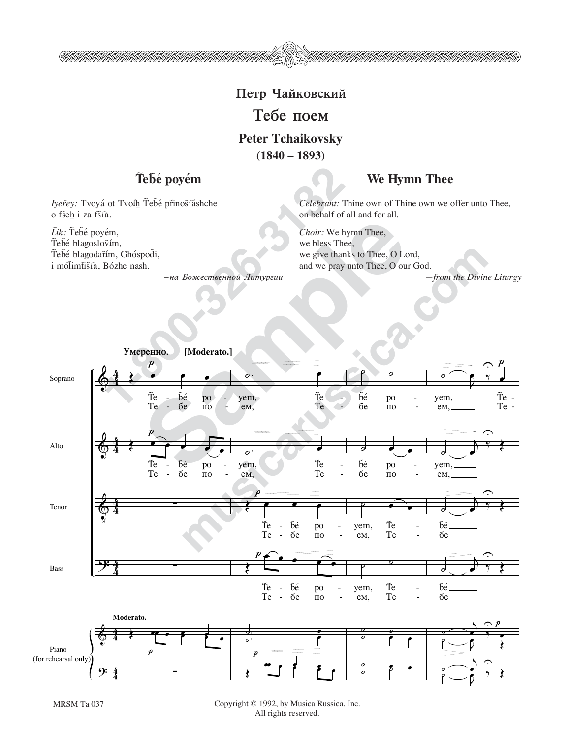# Петр Чайковский

## **Тебе** поем

#### **Peter Tchaikovsky (1840 – 1893)**

### Tebé poyém

 $I$ yer̃ey: Tvoyá ot Tvoíh Tebé prinostáshche o fšeh i za fšíà.

\\$\$\$\$\$\$\$\$\$\$\$\$\$\$\$\$\$\$\$\$\$\$\$\$\$\$\$\$\$\$\$

Lik: Tebé poyém, Tebé blagoslovím, Tebé blagodarím, Ghóspodi, i mólimtista, Bózhe nash.

 $-$ на Божественной Литургии

#### **We Hymn Thee**

*Celebrant:* Thine own of Thine own we offer unto Thee, on behalf of all and for all.

*Choir:* We hymn Thee, we bless Thee, we give thanks to Thee, O Lord, and we pray unto Thee, O our God.

*—from the Divine Liturgy*



MRSM Ta 037 Copyright © 1992, by Musica Russica, Inc. All rights reserved.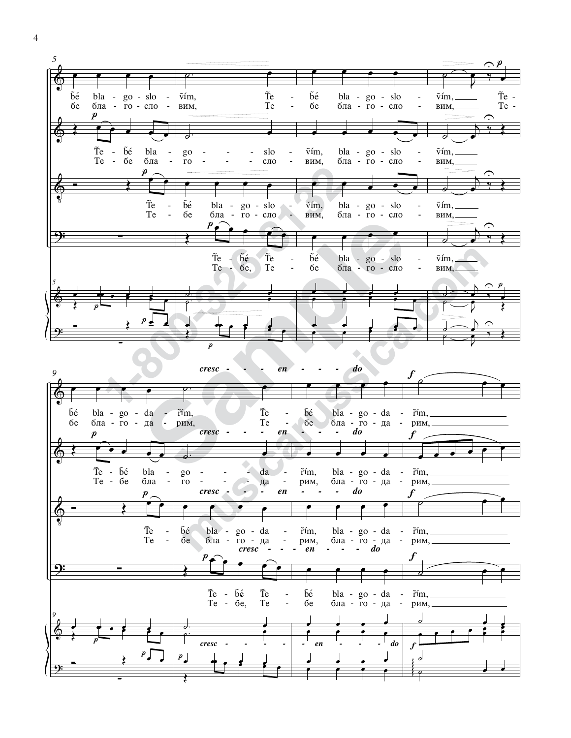

 $\overline{4}$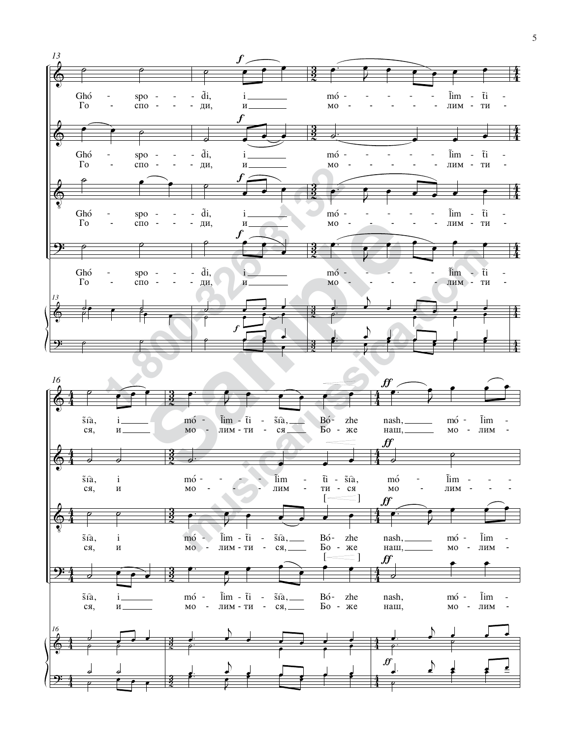